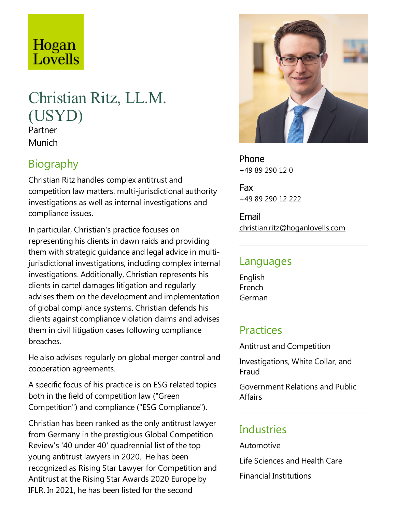# Hogan Lovells

# Christian Ritz, LL.M. (USYD) Partner

Munich

## Biography

Christian Ritz handles complex antitrust and competition law matters, multi-jurisdictional authority investigations as well as internal investigations and compliance issues.

In particular, Christian's practice focuses on representing his clients in dawn raids and providing them with strategic guidance and legal advice in multijurisdictional investigations, including complex internal investigations. Additionally, Christian represents his clients in cartel damages litigation and regularly advises them on the development and implementation of global compliance systems. Christian defends his clients against compliance violation claims and advises them in civil litigation cases following compliance breaches.

He also advises regularly on global merger control and cooperation agreements.

A specific focus of his practice is on ESG related topics both in the field of competition law ("Green" Competition") and compliance("ESG Compliance").

Christian has been ranked as the only antitrust lawyer from Germany in the prestigious Global Competition Review's '40 under 40' quadrennial list of the top young antitrust lawyers in 2020. He has been recognized as Rising Star Lawyer for Competition and Antitrustat the Rising Star Awards 2020 Europe by IFLR. In 2021, he has been listed for the second



Phone +49 89 290 12 0

Fax +49 89 290 12 222

Email christian.ritz@hoganlovells.com

#### Languages

English French German

### **Practices**

Antitrust and Competition

Investigations, White Collar, and Fraud

Government Relations and Public Affairs

## **Industries**

Automotive

Life Sciences and Health Care

Financial Institutions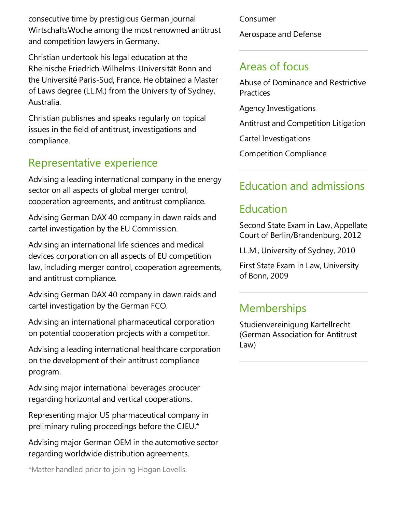consecutive time by prestigious German journal WirtschaftsWoche among the most renowned antitrust and competition lawyers in Germany.

Christian undertook his legal education at the RheinischeFriedrich-Wilhelms-Universität Bonn and the Université Paris-Sud, France. He obtained a Master of Laws degree (LL.M.) from the University of Sydney, Australia.

Christian publishes and speaks regularly on topical issues in the field of antitrust, investigations and compliance.

#### Representative experience

Advising a leading international company in the energy sector on all aspects of global merger control, cooperation agreements, and antitrust compliance.

Advising German DAX 40 company in dawn raids and cartel investigation by the EU Commission.

Advising an international life sciences and medical devices corporation on all aspects of EU competition law, including merger control, cooperation agreements, and antitrust compliance.

Advising German DAX 40 company in dawn raids and cartel investigation by the German FCO.

Advising an international pharmaceutical corporation on potential cooperation projects with a competitor.

Advising a leading international healthcare corporation on the development of their antitrust compliance program.

Advising major international beverages producer regarding horizontal and vertical cooperations.

Representing major US pharmaceutical company in preliminary ruling proceedings before the CJEU. $*$ 

Advising major German OEM in the automotive sector regarding worldwide distribution agreements.

\*Matter handled prior to joining Hogan Lovells.

Consumer

Aerospace and Defense

## Areas of focus

Abuse of Dominance and Restrictive **Practices** 

Agency Investigations

Antitrust and Competition Litigation

Cartel Investigations

Competition Compliance

# Education and admissions

## Education

Second State Exam in Law, Appellate Court of Berlin/Brandenburg, 2012

LL.M., University of Sydney, 2010

First State Exam in Law, University of Bonn, 2009

# **Memberships**

Studienvereinigung Kartellrecht (German Association for Antitrust Law)